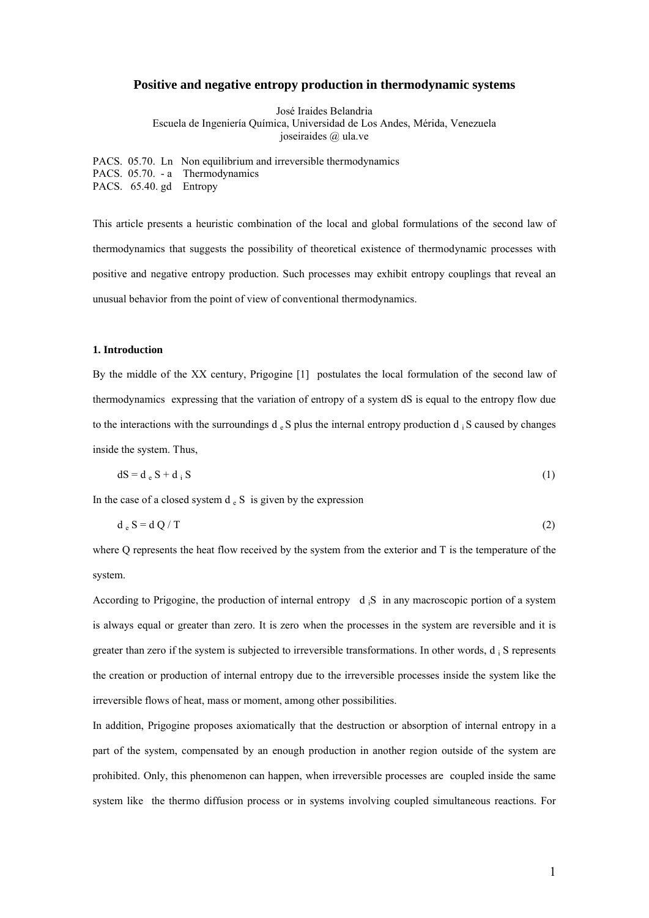# **Positive and negative entropy production in thermodynamic systems**

José Iraides Belandria Escuela de Ingeniería Química, Universidad de Los Andes, Mérida, Venezuela joseiraides @ ula.ve

PACS. 05.70. Ln Non equilibrium and irreversible thermodynamics PACS. 05.70. - a Thermodynamics PACS. 65.40. gd Entropy

This article presents a heuristic combination of the local and global formulations of the second law of thermodynamics that suggests the possibility of theoretical existence of thermodynamic processes with positive and negative entropy production. Such processes may exhibit entropy couplings that reveal an unusual behavior from the point of view of conventional thermodynamics.

## **1. Introduction**

By the middle of the XX century, Prigogine [1] postulates the local formulation of the second law of thermodynamics expressing that the variation of entropy of a system dS is equal to the entropy flow due to the interactions with the surroundings  $d_e S$  plus the internal entropy production d  $\frac{1}{4}$  S caused by changes inside the system. Thus,

$$
dS = d_e S + d_i S \tag{1}
$$

In the case of a closed system  $d_e S$  is given by the expression

$$
d_e S = d Q / T \tag{2}
$$

where Q represents the heat flow received by the system from the exterior and T is the temperature of the system.

According to Prigogine, the production of internal entropy  $d_iS$  in any macroscopic portion of a system is always equal or greater than zero. It is zero when the processes in the system are reversible and it is greater than zero if the system is subjected to irreversible transformations. In other words, d i S represents the creation or production of internal entropy due to the irreversible processes inside the system like the irreversible flows of heat, mass or moment, among other possibilities.

In addition, Prigogine proposes axiomatically that the destruction or absorption of internal entropy in a part of the system, compensated by an enough production in another region outside of the system are prohibited. Only, this phenomenon can happen, when irreversible processes are coupled inside the same system like the thermo diffusion process or in systems involving coupled simultaneous reactions. For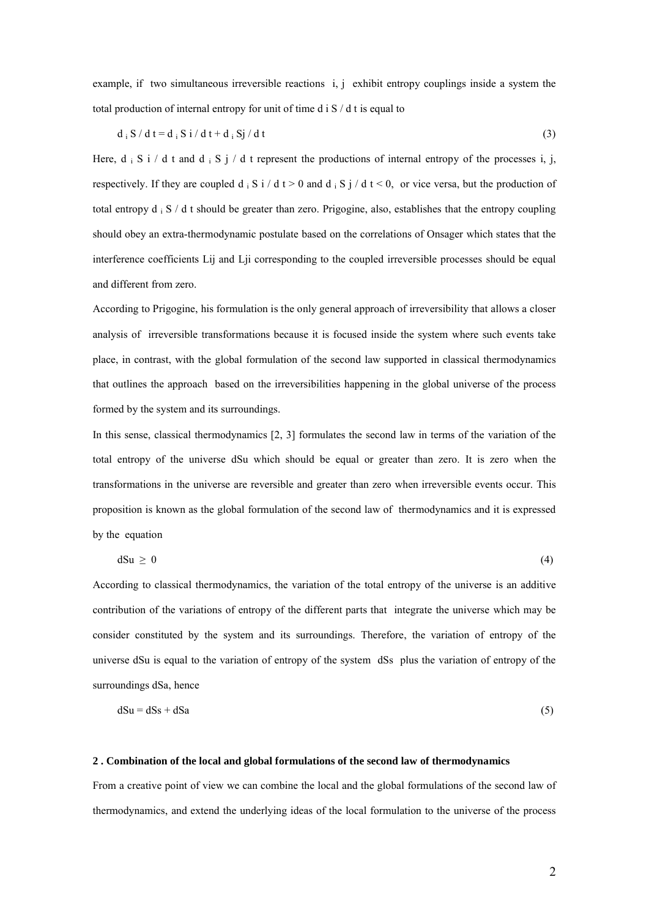example, if two simultaneous irreversible reactions i, j exhibit entropy couplings inside a system the total production of internal entropy for unit of time d i S / d t is equal to

$$
d_i S / d t = d_i S i / d t + d_i S j / d t \tag{3}
$$

Here, d i S i / d t and d i S j / d t represent the productions of internal entropy of the processes i, j, respectively. If they are coupled d i S i / d t > 0 and d i S j / d t < 0, or vice versa, but the production of total entropy d i S / d t should be greater than zero. Prigogine, also, establishes that the entropy coupling should obey an extra-thermodynamic postulate based on the correlations of Onsager which states that the interference coefficients Lij and Lij corresponding to the coupled irreversible processes should be equal and different from zero.

According to Prigogine, his formulation is the only general approach of irreversibility that allows a closer analysis of irreversible transformations because it is focused inside the system where such events take place, in contrast, with the global formulation of the second law supported in classical thermodynamics that outlines the approach based on the irreversibilities happening in the global universe of the process formed by the system and its surroundings.

In this sense, classical thermodynamics [2, 3] formulates the second law in terms of the variation of the total entropy of the universe dSu which should be equal or greater than zero. It is zero when the transformations in the universe are reversible and greater than zero when irreversible events occur. This proposition is known as the global formulation of the second law of thermodynamics and it is expressed by the equation

$$
dSu \geq 0 \tag{4}
$$

According to classical thermodynamics, the variation of the total entropy of the universe is an additive contribution of the variations of entropy of the different parts that integrate the universe which may be consider constituted by the system and its surroundings. Therefore, the variation of entropy of the universe dSu is equal to the variation of entropy of the system dSs plus the variation of entropy of the surroundings dSa, hence

$$
dSu = dSs + dSa \tag{5}
$$

#### **2 . Combination of the local and global formulations of the second law of thermodynamics**

From a creative point of view we can combine the local and the global formulations of the second law of thermodynamics, and extend the underlying ideas of the local formulation to the universe of the process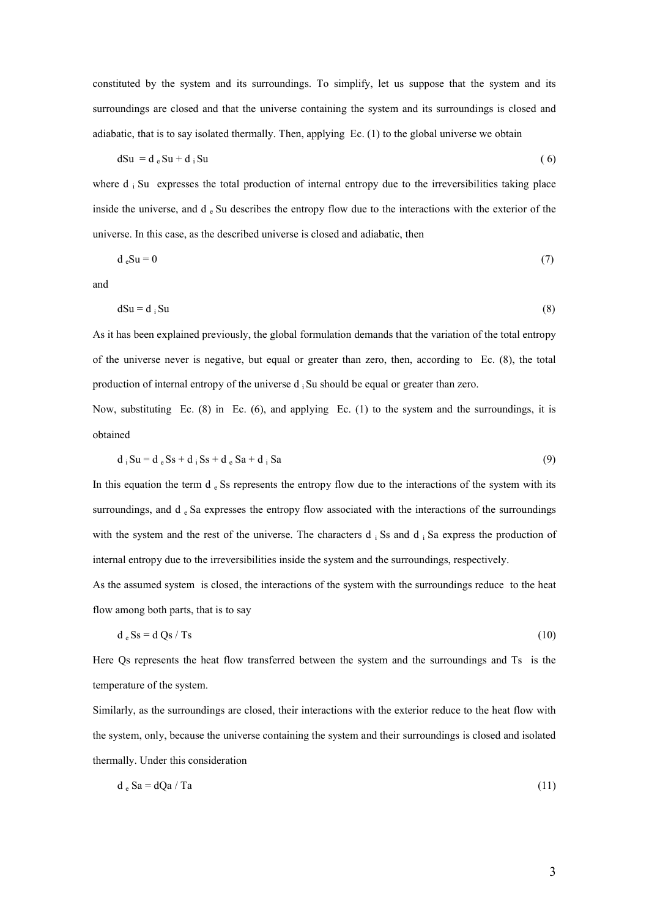constituted by the system and its surroundings. To simplify, let us suppose that the system and its surroundings are closed and that the universe containing the system and its surroundings is closed and adiabatic, that is to say isolated thermally. Then, applying Ec. (1) to the global universe we obtain

$$
dSu = d_e Su + d_i Su \tag{6}
$$

where  $d_i$  Su expresses the total production of internal entropy due to the irreversibilities taking place inside the universe, and d<sub>e</sub> Su describes the entropy flow due to the interactions with the exterior of the universe. In this case, as the described universe is closed and adiabatic, then

$$
d_e Su = 0 \tag{7}
$$

and

$$
dSu = d_i Su \tag{8}
$$

As it has been explained previously, the global formulation demands that the variation of the total entropy of the universe never is negative, but equal or greater than zero, then, according to Ec. (8), the total production of internal entropy of the universe  $d_i$  Su should be equal or greater than zero.

Now, substituting Ec. (8) in Ec. (6), and applying Ec. (1) to the system and the surroundings, it is obtained

$$
d_i Su = d_e Ss + d_i Ss + d_e Sa + d_i Sa \tag{9}
$$

In this equation the term d  $_{e}$  Ss represents the entropy flow due to the interactions of the system with its surroundings, and d  $_{\rm e}$  Sa expresses the entropy flow associated with the interactions of the surroundings with the system and the rest of the universe. The characters  $d_i$  Ss and  $d_i$  Sa express the production of internal entropy due to the irreversibilities inside the system and the surroundings, respectively.

As the assumed system is closed, the interactions of the system with the surroundings reduce to the heat flow among both parts, that is to say

$$
d_e Ss = d Qs / Ts \tag{10}
$$

Here Qs represents the heat flow transferred between the system and the surroundings and Ts is the temperature of the system.

Similarly, as the surroundings are closed, their interactions with the exterior reduce to the heat flow with the system, only, because the universe containing the system and their surroundings is closed and isolated thermally. Under this consideration

$$
d_e Sa = dQa / Ta
$$
 (11)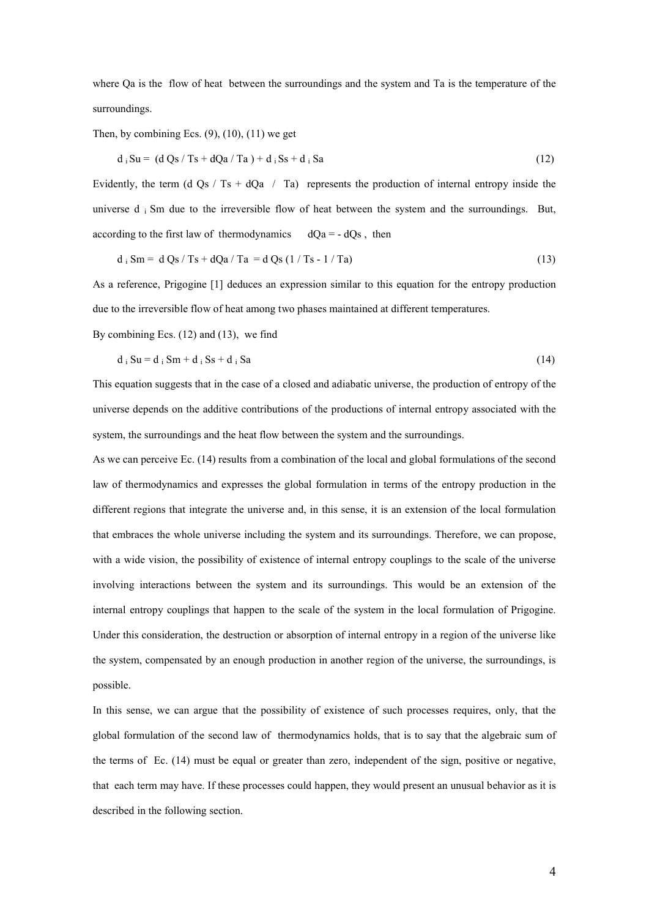where Oa is the flow of heat between the surroundings and the system and Ta is the temperature of the surroundings.

Then, by combining Ecs.  $(9)$ ,  $(10)$ ,  $(11)$  we get

$$
d_i Su = (d Qs / Ts + dQa / Ta) + d_i Ss + d_i Sa
$$
\n(12)

Evidently, the term (d Qs / Ts + dQa / Ta) represents the production of internal entropy inside the universe d i Sm due to the irreversible flow of heat between the system and the surroundings. But, according to the first law of thermodynamics  $dQa = - dQs$ , then

$$
d_i \text{ Sm} = d \text{Qs} / \text{Ts} + d\text{Qa} / \text{Ta} = d \text{Qs} (1 / \text{Ts} - 1 / \text{Ta}) \tag{13}
$$

As a reference, Prigogine [1] deduces an expression similar to this equation for the entropy production due to the irreversible flow of heat among two phases maintained at different temperatures.

By combining Ecs. (12) and (13), we find

$$
d_i Su = d_i Sm + d_i Ss + d_i Sa
$$
\n(14)

This equation suggests that in the case of a closed and adiabatic universe, the production of entropy of the universe depends on the additive contributions of the productions of internal entropy associated with the system, the surroundings and the heat flow between the system and the surroundings.

As we can perceive Ec. (14) results from a combination of the local and global formulations of the second law of thermodynamics and expresses the global formulation in terms of the entropy production in the different regions that integrate the universe and, in this sense, it is an extension of the local formulation that embraces the whole universe including the system and its surroundings. Therefore, we can propose, with a wide vision, the possibility of existence of internal entropy couplings to the scale of the universe involving interactions between the system and its surroundings. This would be an extension of the internal entropy couplings that happen to the scale of the system in the local formulation of Prigogine. Under this consideration, the destruction or absorption of internal entropy in a region of the universe like the system, compensated by an enough production in another region of the universe, the surroundings, is possible.

In this sense, we can argue that the possibility of existence of such processes requires, only, that the global formulation of the second law of thermodynamics holds, that is to say that the algebraic sum of the terms of Ec. (14) must be equal or greater than zero, independent of the sign, positive or negative, that each term may have. If these processes could happen, they would present an unusual behavior as it is described in the following section.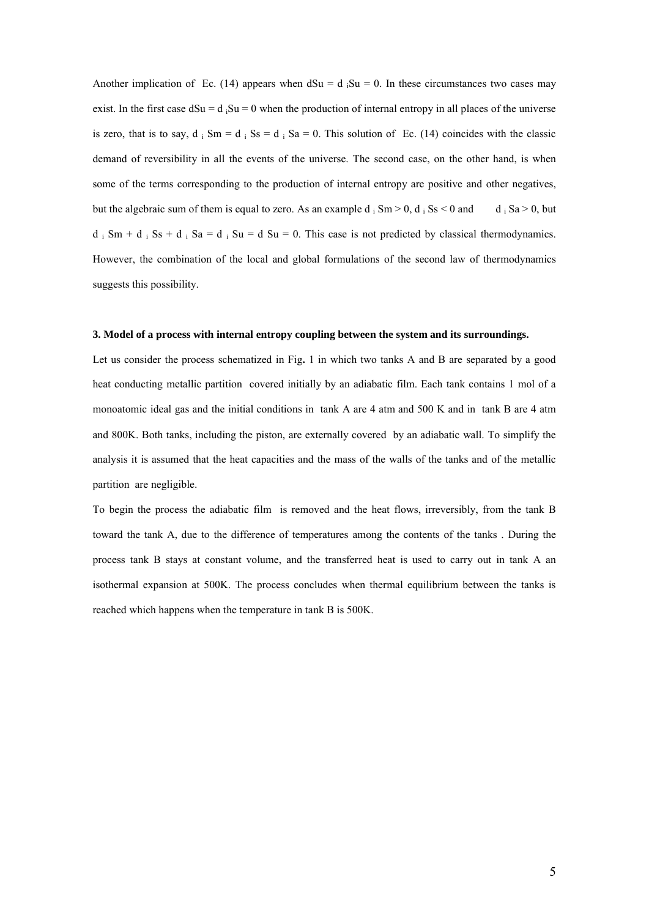Another implication of Ec. (14) appears when  $dSu = d$  <sub>i</sub>Su = 0. In these circumstances two cases may exist. In the first case  $dSu = d$ ,  $Su = 0$  when the production of internal entropy in all places of the universe is zero, that is to say, d  $\vert$  Sm = d  $\vert$  Ss = d  $\vert$  Sa = 0. This solution of Ec. (14) coincides with the classic demand of reversibility in all the events of the universe. The second case, on the other hand, is when some of the terms corresponding to the production of internal entropy are positive and other negatives, but the algebraic sum of them is equal to zero. As an example  $d_i$  Sm > 0,  $d_i$  Ss < 0 and d  $d_i$  Sa > 0, but  $d_i$  Sm +  $d_i$  Ss +  $d_i$  Sa =  $d_i$  Su =  $d$  Su = 0. This case is not predicted by classical thermodynamics. However, the combination of the local and global formulations of the second law of thermodynamics suggests this possibility.

#### **3. Model of a process with internal entropy coupling between the system and its surroundings.**

Let us consider the process schematized in Fig**.** 1 in which two tanks A and B are separated by a good heat conducting metallic partition covered initially by an adiabatic film. Each tank contains 1 mol of a monoatomic ideal gas and the initial conditions in tank A are 4 atm and 500 K and in tank B are 4 atm and 800K. Both tanks, including the piston, are externally covered by an adiabatic wall. To simplify the analysis it is assumed that the heat capacities and the mass of the walls of the tanks and of the metallic partition are negligible.

To begin the process the adiabatic film is removed and the heat flows, irreversibly, from the tank B toward the tank A, due to the difference of temperatures among the contents of the tanks . During the process tank B stays at constant volume, and the transferred heat is used to carry out in tank A an isothermal expansion at 500K. The process concludes when thermal equilibrium between the tanks is reached which happens when the temperature in tank B is 500K.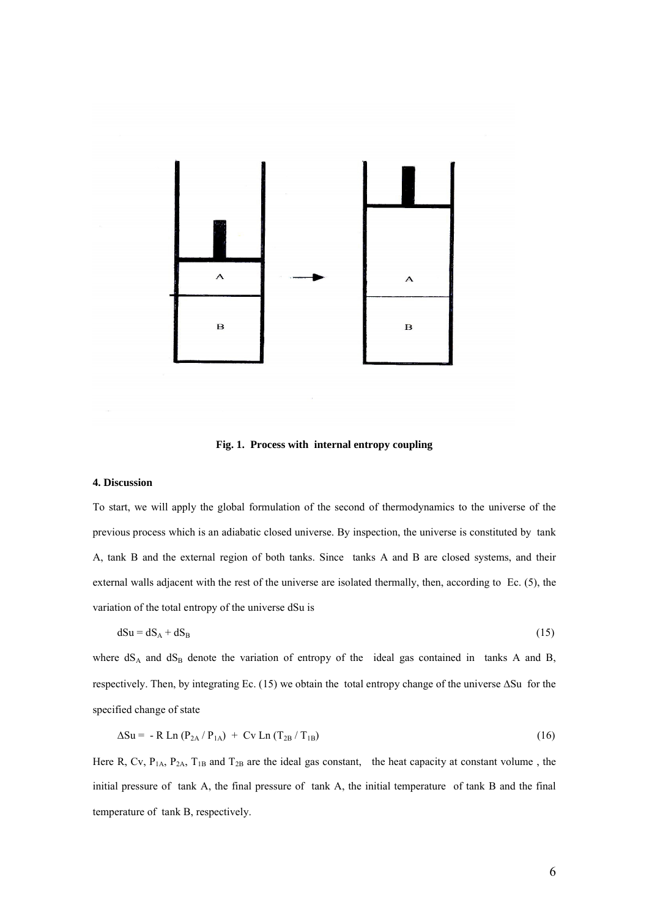

**Fig. 1. Process with internal entropy coupling**

## **4. Discussion**

To start, we will apply the global formulation of the second of thermodynamics to the universe of the previous process which is an adiabatic closed universe. By inspection, the universe is constituted by tank A, tank B and the external region of both tanks. Since tanks A and B are closed systems, and their external walls adjacent with the rest of the universe are isolated thermally, then, according to Ec. (5), the variation of the total entropy of the universe dSu is

$$
dSu = dS_A + dS_B \tag{15}
$$

where  $dS_A$  and  $dS_B$  denote the variation of entropy of the ideal gas contained in tanks A and B, respectively. Then, by integrating Ec.  $(15)$  we obtain the total entropy change of the universe  $\Delta Su$  for the specified change of state

$$
\Delta Su = -R Ln (P2A/P1A) + Cv Ln (T2B/T1B)
$$
\n(16)

Here R, Cv,  $P_{1A}$ ,  $P_{2A}$ ,  $T_{1B}$  and  $T_{2B}$  are the ideal gas constant, the heat capacity at constant volume, the initial pressure of tank A, the final pressure of tank A, the initial temperature of tank B and the final temperature of tank B, respectively.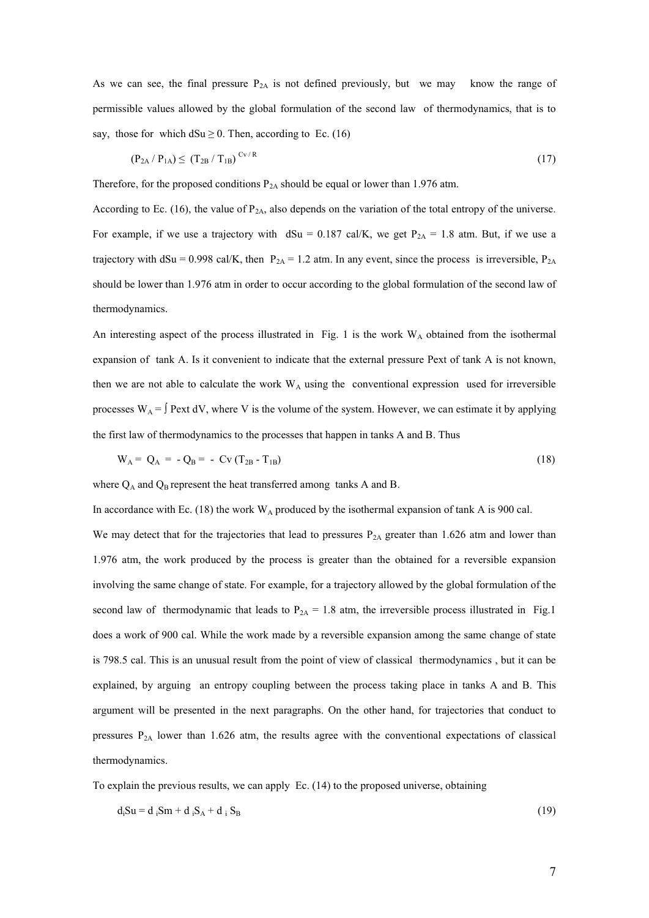As we can see, the final pressure  $P_{2A}$  is not defined previously, but we may know the range of permissible values allowed by the global formulation of the second law of thermodynamics, that is to say, those for which  $dSu \ge 0$ . Then, according to Ec. (16)

$$
(\mathbf{P}_{2A} / \mathbf{P}_{1A}) \leq (\mathbf{T}_{2B} / \mathbf{T}_{1B})^{\text{Cv/R}} \tag{17}
$$

Therefore, for the proposed conditions  $P_{2A}$  should be equal or lower than 1.976 atm.

According to Ec. (16), the value of  $P_{2A}$ , also depends on the variation of the total entropy of the universe. For example, if we use a trajectory with  $dSu = 0.187 \text{ cal/K}$ , we get  $P_{2A} = 1.8 \text{ atm}$ . But, if we use a trajectory with dSu = 0.998 cal/K, then  $P_{2A} = 1.2$  atm. In any event, since the process is irreversible,  $P_{2A}$ should be lower than 1.976 atm in order to occur according to the global formulation of the second law of thermodynamics.

An interesting aspect of the process illustrated in Fig. 1 is the work  $W_A$  obtained from the isothermal expansion of tank A. Is it convenient to indicate that the external pressure Pext of tank A is not known, then we are not able to calculate the work  $W_A$  using the conventional expression used for irreversible processes  $W_A = \int$  Pext dV, where V is the volume of the system. However, we can estimate it by applying the first law of thermodynamics to the processes that happen in tanks A and B. Thus

$$
W_A = Q_A = -Q_B = -CV(T_{2B} - T_{1B})
$$
\n(18)

where  $Q_A$  and  $Q_B$  represent the heat transferred among tanks A and B.

In accordance with Ec. (18) the work  $W_A$  produced by the isothermal expansion of tank A is 900 cal.

We may detect that for the trajectories that lead to pressures  $P_{2A}$  greater than 1.626 atm and lower than 1.976 atm, the work produced by the process is greater than the obtained for a reversible expansion involving the same change of state. For example, for a trajectory allowed by the global formulation of the second law of thermodynamic that leads to  $P_{2A} = 1.8$  atm, the irreversible process illustrated in Fig.1 does a work of 900 cal. While the work made by a reversible expansion among the same change of state is 798.5 cal. This is an unusual result from the point of view of classical thermodynamics , but it can be explained, by arguing an entropy coupling between the process taking place in tanks A and B. This argument will be presented in the next paragraphs. On the other hand, for trajectories that conduct to pressures  $P_{2A}$  lower than 1.626 atm, the results agree with the conventional expectations of classical thermodynamics.

To explain the previous results, we can apply Ec. (14) to the proposed universe, obtaining

$$
d_i Su = d_i Sm + d_iS_A + d_iS_B \tag{19}
$$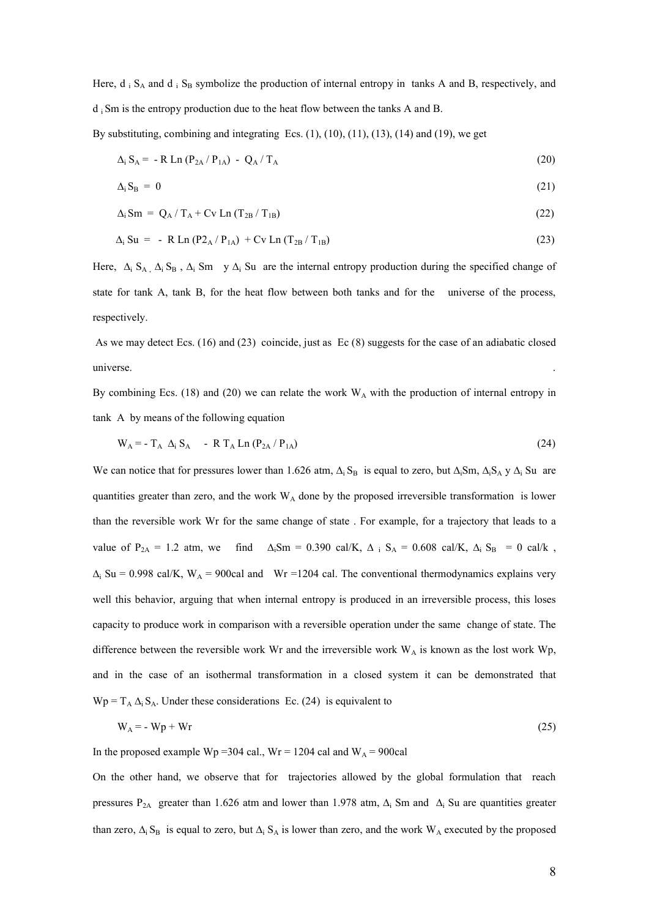Here,  $d_i S_A$  and  $d_i S_B$  symbolize the production of internal entropy in tanks A and B, respectively, and d i Sm is the entropy production due to the heat flow between the tanks A and B.

By substituting, combining and integrating Ecs.  $(1)$ ,  $(10)$ ,  $(11)$ ,  $(13)$ ,  $(14)$  and  $(19)$ , we get

$$
\Delta_{i} S_{A} = -R Ln (P_{2A} / P_{1A}) - Q_{A} / T_{A}
$$
\n(20)

$$
\Delta_i S_B = 0 \tag{21}
$$

$$
\Delta_i \operatorname{Sm} = Q_A / T_A + \operatorname{Cv} \operatorname{Ln} (T_{2B} / T_{1B}) \tag{22}
$$

$$
\Delta_{\rm i} \, \rm{S}u = - R \, \rm{Ln} \, (P2_A / P_{1A}) + Cv \, \rm{Ln} \, (T_{2B} / T_{1B}) \tag{23}
$$

Here,  $\Delta_i$  S<sub>A</sub>,  $\Delta_i$  S<sub>B</sub>,  $\Delta_i$  Sm y  $\Delta_i$  Su are the internal entropy production during the specified change of state for tank A, tank B, for the heat flow between both tanks and for the universe of the process, respectively.

As we may detect Ecs. (16) and (23) coincide, just as Ec (8) suggests for the case of an adiabatic closed universe.

By combining Ecs. (18) and (20) we can relate the work  $W_A$  with the production of internal entropy in tank A by means of the following equation

$$
W_A = -T_A \Delta_i S_A - R T_A Ln (P_{2A} / P_{1A})
$$
\n(24)

We can notice that for pressures lower than 1.626 atm,  $\Delta_i S_B$  is equal to zero, but  $\Delta_i S_m$ ,  $\Delta_i S_A$  y  $\Delta_i$  Su are quantities greater than zero, and the work  $W_A$  done by the proposed irreversible transformation is lower than the reversible work Wr for the same change of state . For example, for a trajectory that leads to a value of  $P_{2A} = 1.2$  atm, we find  $\Delta_iSm = 0.390$  cal/K,  $\Delta_i S_A = 0.608$  cal/K,  $\Delta_i S_B = 0$  cal/k,  $\Delta_i$  Su = 0.998 cal/K, W<sub>A</sub> = 900cal and Wr =1204 cal. The conventional thermodynamics explains very well this behavior, arguing that when internal entropy is produced in an irreversible process, this loses capacity to produce work in comparison with a reversible operation under the same change of state. The difference between the reversible work Wr and the irreversible work  $W_A$  is known as the lost work Wp, and in the case of an isothermal transformation in a closed system it can be demonstrated that  $Wp = T_A \Delta_i S_A$ . Under these considerations Ec. (24) is equivalent to

$$
W_A = -Wp + Wr \tag{25}
$$

In the proposed example Wp = 304 cal., Wr = 1204 cal and W<sub>A</sub> = 900cal

On the other hand, we observe that for trajectories allowed by the global formulation that reach pressures P<sub>2A</sub> greater than 1.626 atm and lower than 1.978 atm,  $\Delta_i$  Sm and  $\Delta_i$  Su are quantities greater than zero,  $\Delta_i$  S<sub>B</sub> is equal to zero, but  $\Delta_i$  S<sub>A</sub> is lower than zero, and the work W<sub>A</sub> executed by the proposed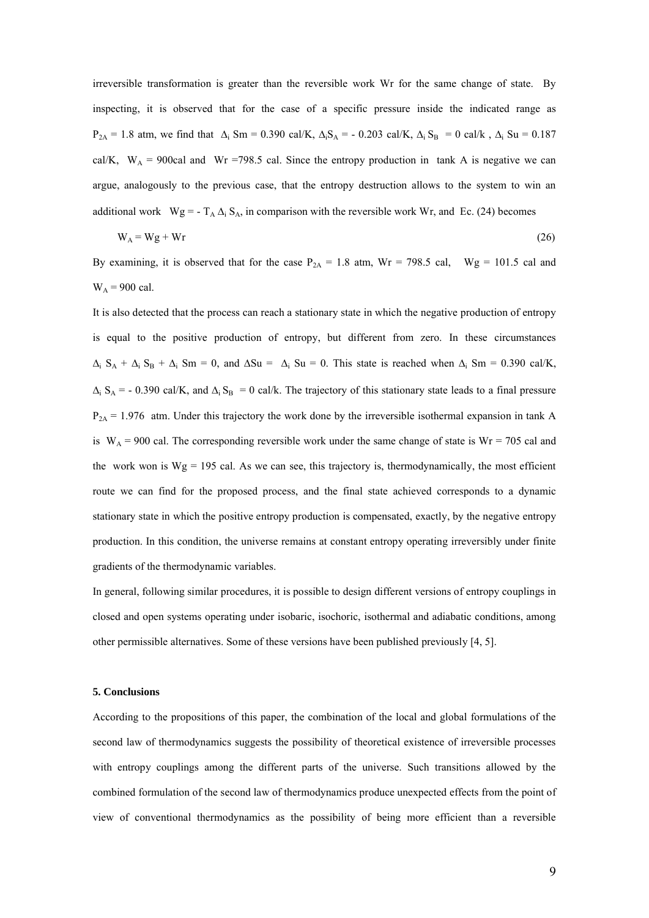irreversible transformation is greater than the reversible work Wr for the same change of state. By inspecting, it is observed that for the case of a specific pressure inside the indicated range as  $P_{2A} = 1.8$  atm, we find that  $\Delta_i$  Sm = 0.390 cal/K,  $\Delta_i S_A = -0.203$  cal/K,  $\Delta_i S_B = 0$  cal/k,  $\Delta_i$  Su = 0.187 cal/K,  $W_A$  = 900cal and Wr =798.5 cal. Since the entropy production in tank A is negative we can argue, analogously to the previous case, that the entropy destruction allows to the system to win an additional work  $Wg = -T_A \Delta_i S_A$ , in comparison with the reversible work Wr, and Ec. (24) becomes

$$
W_A = Wg + Wr \tag{26}
$$

By examining, it is observed that for the case  $P_{2A} = 1.8$  atm,  $Wr = 798.5$  cal,  $Wg = 101.5$  cal and  $W_A$  = 900 cal.

It is also detected that the process can reach a stationary state in which the negative production of entropy is equal to the positive production of entropy, but different from zero. In these circumstances  $\Delta_i$   $S_A + \Delta_i$   $S_B + \Delta_i$  Sm = 0, and  $\Delta Su = \Delta_i$  Su = 0. This state is reached when  $\Delta_i$  Sm = 0.390 cal/K,  $\Delta_i$  S<sub>A</sub> = - 0.390 cal/K, and  $\Delta_i$  S<sub>B</sub> = 0 cal/k. The trajectory of this stationary state leads to a final pressure  $P_{2A}$  = 1.976 atm. Under this trajectory the work done by the irreversible isothermal expansion in tank A is  $W_A = 900$  cal. The corresponding reversible work under the same change of state is  $Wr = 705$  cal and the work won is  $Wg = 195$  cal. As we can see, this trajectory is, thermodynamically, the most efficient route we can find for the proposed process, and the final state achieved corresponds to a dynamic stationary state in which the positive entropy production is compensated, exactly, by the negative entropy production. In this condition, the universe remains at constant entropy operating irreversibly under finite gradients of the thermodynamic variables.

In general, following similar procedures, it is possible to design different versions of entropy couplings in closed and open systems operating under isobaric, isochoric, isothermal and adiabatic conditions, among other permissible alternatives. Some of these versions have been published previously [4, 5].

#### **5. Conclusions**

According to the propositions of this paper, the combination of the local and global formulations of the second law of thermodynamics suggests the possibility of theoretical existence of irreversible processes with entropy couplings among the different parts of the universe. Such transitions allowed by the combined formulation of the second law of thermodynamics produce unexpected effects from the point of view of conventional thermodynamics as the possibility of being more efficient than a reversible